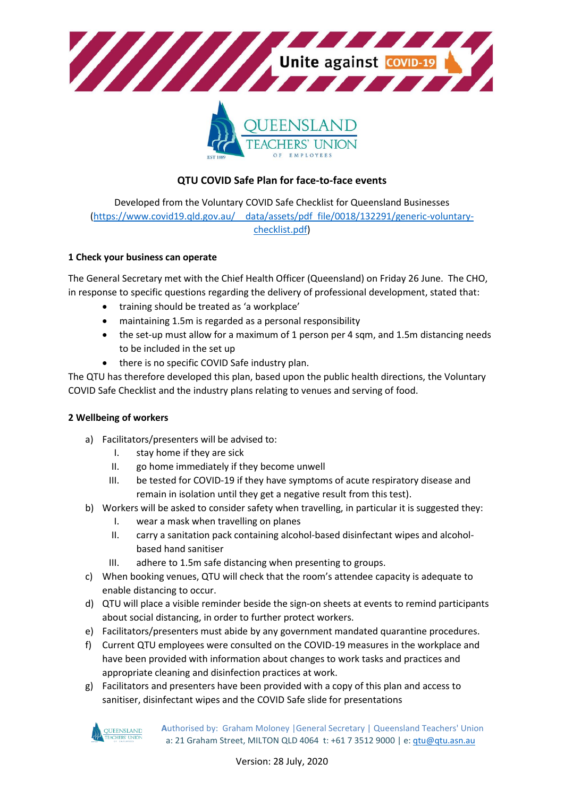

# **QTU COVID Safe Plan for face-to-face events**

Developed from the Voluntary COVID Safe Checklist for Queensland Businesses [\(https://www.covid19.qld.gov.au/\\_\\_data/assets/pdf\\_file/0018/132291/generic-voluntary](https://www.covid19.qld.gov.au/__data/assets/pdf_file/0018/132291/generic-voluntary-checklist.pdf)[checklist.pdf\)](https://www.covid19.qld.gov.au/__data/assets/pdf_file/0018/132291/generic-voluntary-checklist.pdf)

### **1 Check your business can operate**

The General Secretary met with the Chief Health Officer (Queensland) on Friday 26 June. The CHO, in response to specific questions regarding the delivery of professional development, stated that:

- training should be treated as 'a workplace'
- maintaining 1.5m is regarded as a personal responsibility
- the set-up must allow for a maximum of 1 person per 4 sqm, and 1.5m distancing needs to be included in the set up
- there is no specific COVID Safe industry plan.

The QTU has therefore developed this plan, based upon the public health directions, the Voluntary COVID Safe Checklist and the industry plans relating to venues and serving of food.

### **2 Wellbeing of workers**

- a) Facilitators/presenters will be advised to:
	- I. stay home if they are sick
	- II. go home immediately if they become unwell
	- III. be tested for COVID-19 if they have symptoms of acute respiratory disease and remain in isolation until they get a negative result from this test).
- b) Workers will be asked to consider safety when travelling, in particular it is suggested they:
	- I. wear a mask when travelling on planes
	- II. carry a sanitation pack containing alcohol-based disinfectant wipes and alcoholbased hand sanitiser
	- III. adhere to 1.5m safe distancing when presenting to groups.
- c) When booking venues, QTU will check that the room's attendee capacity is adequate to enable distancing to occur.
- d) QTU will place a visible reminder beside the sign-on sheets at events to remind participants about social distancing, in order to further protect workers.
- e) Facilitators/presenters must abide by any government mandated quarantine procedures.
- f) Current QTU employees were consulted on the COVID-19 measures in the workplace and have been provided with information about changes to work tasks and practices and appropriate cleaning and disinfection practices at work.
- g) Facilitators and presenters have been provided with a copy of this plan and access to sanitiser, disinfectant wipes and the COVID Safe slide for presentations



**A**uthorised by: Graham Moloney |General Secretary | Queensland Teachers' Union a: 21 Graham Street, MILTON QLD 4064 t: +61 7 3512 9000 | e: [qtu@qtu.asn.au](mailto:qtu@qtu.asn.au)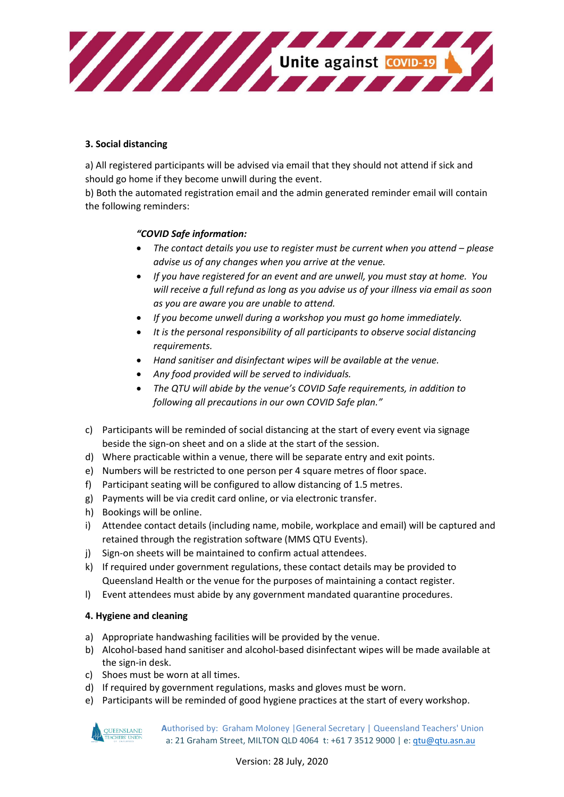

## **3. Social distancing**

a) All registered participants will be advised via email that they should not attend if sick and should go home if they become unwill during the event.

b) Both the automated registration email and the admin generated reminder email will contain the following reminders:

## *"COVID Safe information:*

- The contact details you use to register must be current when you attend please *advise us of any changes when you arrive at the venue.*
- *If you have registered for an event and are unwell, you must stay at home. You will receive a full refund as long as you advise us of your illness via email as soon as you are aware you are unable to attend.*
- *If you become unwell during a workshop you must go home immediately.*
- *It is the personal responsibility of all participants to observe social distancing requirements.*
- *Hand sanitiser and disinfectant wipes will be available at the venue.*
- *Any food provided will be served to individuals.*
- *The QTU will abide by the venue's COVID Safe requirements, in addition to following all precautions in our own COVID Safe plan."*
- c) Participants will be reminded of social distancing at the start of every event via signage beside the sign-on sheet and on a slide at the start of the session.
- d) Where practicable within a venue, there will be separate entry and exit points.
- e) Numbers will be restricted to one person per 4 square metres of floor space.
- f) Participant seating will be configured to allow distancing of 1.5 metres.
- g) Payments will be via credit card online, or via electronic transfer.
- h) Bookings will be online.
- i) Attendee contact details (including name, mobile, workplace and email) will be captured and retained through the registration software (MMS QTU Events).
- j) Sign-on sheets will be maintained to confirm actual attendees.
- k) If required under government regulations, these contact details may be provided to Queensland Health or the venue for the purposes of maintaining a contact register.
- l) Event attendees must abide by any government mandated quarantine procedures.

## **4. Hygiene and cleaning**

- a) Appropriate handwashing facilities will be provided by the venue.
- b) Alcohol-based hand sanitiser and alcohol-based disinfectant wipes will be made available at the sign-in desk.
- c) Shoes must be worn at all times.
- d) If required by government regulations, masks and gloves must be worn.
- e) Participants will be reminded of good hygiene practices at the start of every workshop.



**Authorised by: Graham Moloney | General Secretary | Queensland Teachers' Union** a: 21 Graham Street, MILTON QLD 4064 t: +61 7 3512 9000 | e: gtu@gtu.asn.au